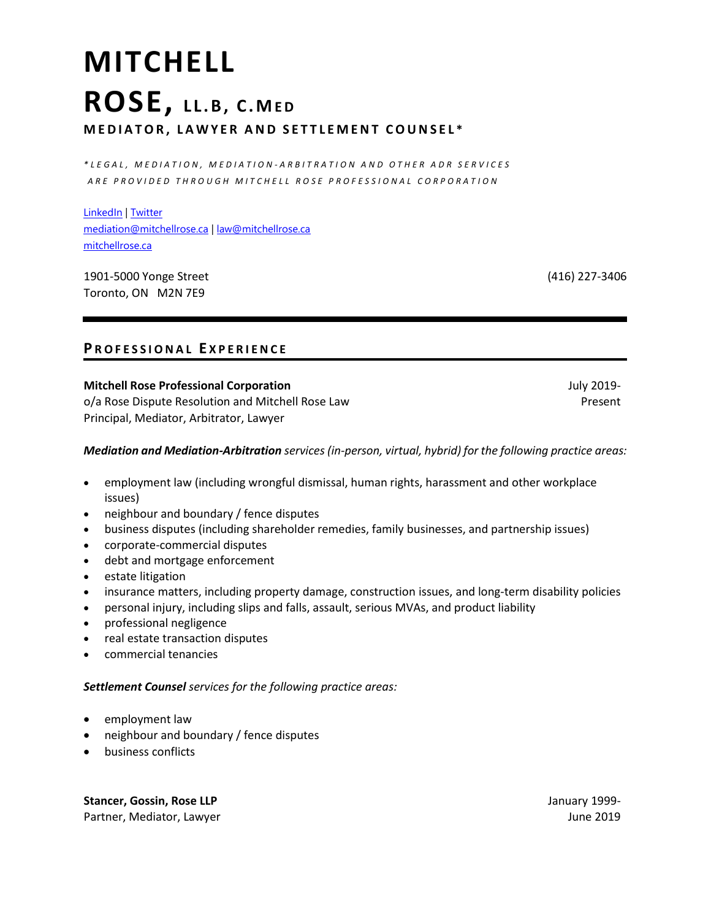# **MITCHELL ROSE, L L . B , C . ME D M E D I A T O R , L A W Y E R A N D S E T T L E M E N T C O U N S E L \***

*\* L E G A L , M E D I A T I O N , M E D I A T I O N - A R B I T R A T I O N A N D O T H E R A D R S E R V I C E S A R E P R O V I D E D T H R O U G H M I T C H E L L R O S E P R O F E S S I O N A L C O R P O R A T I O N*

LinkedIn | Twitter mediation@mitchellrose.ca | law@mitchellrose.ca mitchellrose.ca

1901-5000 Yonge Street Toronto, ON M2N 7E9

(416) 227-3406

## **P R O F E S S I O N A L E X P E R I E N C E**

#### **Mitchell Rose Professional Corporation**

o/a Rose Dispute Resolution and Mitchell Rose Law Principal, Mediator, Arbitrator, Lawyer

July 2019- Present

#### *Mediation and Mediation-Arbitration services (in-person, virtual, hybrid) for the following practice areas:*

- employment law (including wrongful dismissal, human rights, harassment and other workplace issues)
- neighbour and boundary / fence disputes
- business disputes (including shareholder remedies, family businesses, and partnership issues)
- corporate-commercial disputes
- debt and mortgage enforcement
- estate litigation
- insurance matters, including property damage, construction issues, and long-term disability policies
- personal injury, including slips and falls, assault, serious MVAs, and product liability
- professional negligence
- real estate transaction disputes
- commercial tenancies

#### *Settlement Counsel services for the following practice areas:*

- employment law
- neighbour and boundary / fence disputes
- business conflicts

**Stancer, Gossin, Rose LLP**  Partner, Mediator, Lawyer January 1999- June 2019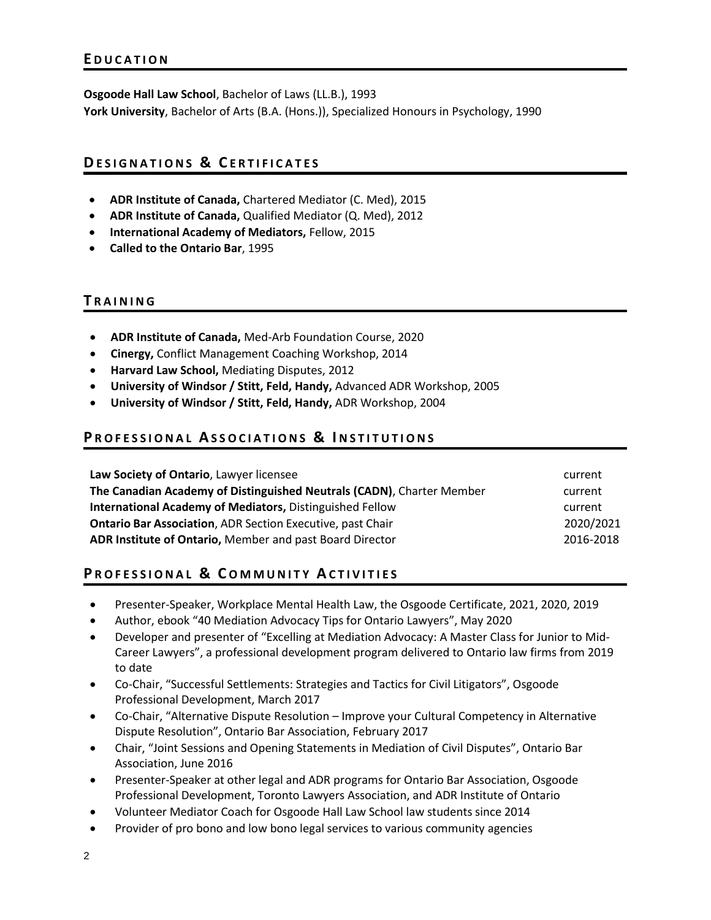**Osgoode Hall Law School**, Bachelor of Laws (LL.B.), 1993 **York University**, Bachelor of Arts (B.A. (Hons.)), Specialized Honours in Psychology, 1990

## **DE S I G N A T I O N S & C E R T I F I C A T E S**

- **ADR Institute of Canada,** Chartered Mediator (C. Med), 2015
- **ADR Institute of Canada,** Qualified Mediator (Q. Med), 2012
- **International Academy of Mediators,** Fellow, 2015
- **Called to the Ontario Bar**, 1995

#### **T R A I N I N G**

- **ADR Institute of Canada,** Med-Arb Foundation Course, 2020
- **Cinergy,** Conflict Management Coaching Workshop, 2014
- **Harvard Law School,** Mediating Disputes, 2012
- **University of Windsor / Stitt, Feld, Handy,** Advanced ADR Workshop, 2005
- **University of Windsor / Stitt, Feld, Handy,** ADR Workshop, 2004

### **PROFESSIONAL ASSOCIATIONS & INSTITUTIONS**

| Law Society of Ontario, Lawyer licensee                               | current   |
|-----------------------------------------------------------------------|-----------|
| The Canadian Academy of Distinguished Neutrals (CADN), Charter Member | current   |
| International Academy of Mediators, Distinguished Fellow              | current   |
| <b>Ontario Bar Association, ADR Section Executive, past Chair</b>     | 2020/2021 |
| ADR Institute of Ontario, Member and past Board Director              | 2016-2018 |

## **PROFESSIONAL & COMMUNITY ACTIVITIES**

- Presenter-Speaker, Workplace Mental Health Law, the Osgoode Certificate, 2021, 2020, 2019
- Author, ebook "40 Mediation Advocacy Tips for Ontario Lawyers", May 2020
- Developer and presenter of "Excelling at Mediation Advocacy: A Master Class for Junior to Mid-Career Lawyers", a professional development program delivered to Ontario law firms from 2019 to date
- Co-Chair, "Successful Settlements: Strategies and Tactics for Civil Litigators", Osgoode Professional Development, March 2017
- Co-Chair, "Alternative Dispute Resolution Improve your Cultural Competency in Alternative Dispute Resolution", Ontario Bar Association, February 2017
- Chair, "Joint Sessions and Opening Statements in Mediation of Civil Disputes", Ontario Bar Association, June 2016
- Presenter-Speaker at other legal and ADR programs for Ontario Bar Association, Osgoode Professional Development, Toronto Lawyers Association, and ADR Institute of Ontario
- Volunteer Mediator Coach for Osgoode Hall Law School law students since 2014
- Provider of pro bono and low bono legal services to various community agencies